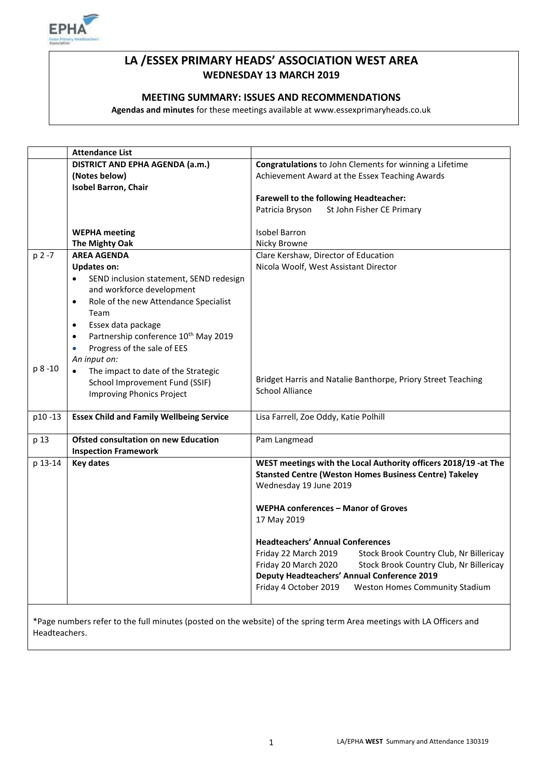

## **LA /ESSEX PRIMARY HEADS' ASSOCIATION WEST AREA WEDNESDAY 13 MARCH 2019**

#### **MEETING SUMMARY: ISSUES AND RECOMMENDATIONS**

**Agendas and minutes** for these meetings available at www.essexprimaryheads.co.uk

|           | <b>Attendance List</b>                                        |                                                                 |
|-----------|---------------------------------------------------------------|-----------------------------------------------------------------|
|           | DISTRICT AND EPHA AGENDA (a.m.)                               | Congratulations to John Clements for winning a Lifetime         |
|           | (Notes below)                                                 | Achievement Award at the Essex Teaching Awards                  |
|           | <b>Isobel Barron, Chair</b>                                   |                                                                 |
|           |                                                               | Farewell to the following Headteacher:                          |
|           |                                                               | St John Fisher CE Primary<br>Patricia Bryson                    |
|           |                                                               |                                                                 |
|           | <b>WEPHA</b> meeting                                          | <b>Isobel Barron</b>                                            |
|           | The Mighty Oak                                                | Nicky Browne                                                    |
| $p 2 - 7$ | <b>AREA AGENDA</b>                                            | Clare Kershaw, Director of Education                            |
|           | <b>Updates on:</b>                                            | Nicola Woolf, West Assistant Director                           |
|           | SEND inclusion statement, SEND redesign<br>$\bullet$          |                                                                 |
|           | and workforce development                                     |                                                                 |
|           | Role of the new Attendance Specialist<br>$\bullet$            |                                                                 |
|           | Team                                                          |                                                                 |
|           | Essex data package<br>$\bullet$                               |                                                                 |
|           | Partnership conference 10 <sup>th</sup> May 2019<br>$\bullet$ |                                                                 |
|           | Progress of the sale of EES<br>$\bullet$                      |                                                                 |
|           | An input on:                                                  |                                                                 |
| p 8 -10   |                                                               |                                                                 |
|           | The impact to date of the Strategic<br>$\bullet$              | Bridget Harris and Natalie Banthorpe, Priory Street Teaching    |
|           | School Improvement Fund (SSIF)                                | <b>School Alliance</b>                                          |
|           | <b>Improving Phonics Project</b>                              |                                                                 |
| p10-13    | <b>Essex Child and Family Wellbeing Service</b>               | Lisa Farrell, Zoe Oddy, Katie Polhill                           |
|           |                                                               |                                                                 |
| p 13      | <b>Ofsted consultation on new Education</b>                   | Pam Langmead                                                    |
|           | <b>Inspection Framework</b>                                   |                                                                 |
| p 13-14   | <b>Key dates</b>                                              | WEST meetings with the Local Authority officers 2018/19 -at The |
|           |                                                               | <b>Stansted Centre (Weston Homes Business Centre) Takeley</b>   |
|           |                                                               | Wednesday 19 June 2019                                          |
|           |                                                               |                                                                 |
|           |                                                               | WEPHA conferences – Manor of Groves                             |
|           |                                                               | 17 May 2019                                                     |
|           |                                                               |                                                                 |
|           |                                                               | <b>Headteachers' Annual Conferences</b>                         |
|           |                                                               | Friday 22 March 2019<br>Stock Brook Country Club, Nr Billericay |
|           |                                                               | Friday 20 March 2020<br>Stock Brook Country Club, Nr Billericay |
|           |                                                               | <b>Deputy Headteachers' Annual Conference 2019</b>              |
|           |                                                               | Friday 4 October 2019<br>Weston Homes Community Stadium         |
|           |                                                               |                                                                 |
|           |                                                               |                                                                 |

\*Page numbers refer to the full minutes (posted on the website) of the spring term Area meetings with LA Officers and Headteachers.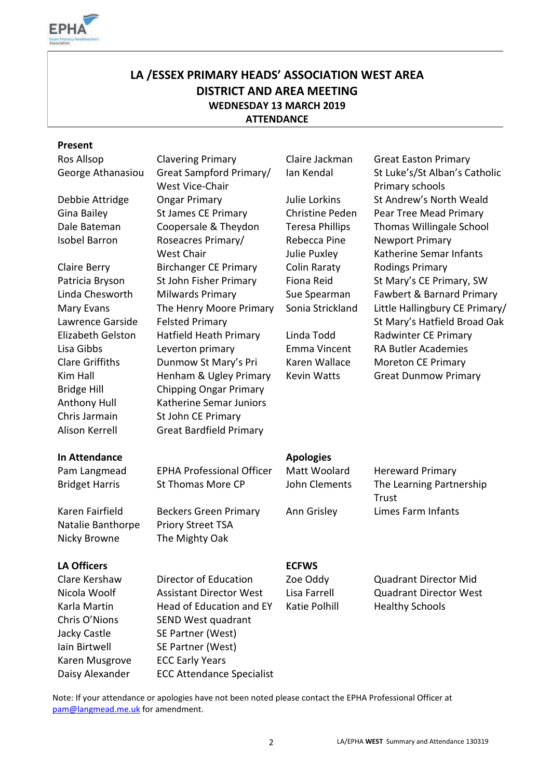

# **LA /ESSEX PRIMARY HEADS' ASSOCIATION WEST AREA DISTRICT AND AREA MEETING WEDNESDAY 13 MARCH 2019 ATTENDANCE**

#### **Present**

| Ros Allsop        |  |  |  |
|-------------------|--|--|--|
| George Athanasiou |  |  |  |
|                   |  |  |  |

Mary Evans Lawrence Garside Alison Kerrell Great Bardfield Primary

Great Sampford Primary/ West Vice-Chair Debbie Attridge Ongar Primary Julie Lorkins St Andrew's North Weald Gina Bailey St James CE Primary Christine Peden Pear Tree Mead Primary Dale Bateman Coopersale & Theydon Teresa Phillips Thomas Willingale School Isobel Barron Roseacres Primary/ West Chair Claire Berry **Birchanger CE Primary** Colin Raraty Rodings Primary Patricia Bryson St John Fisher Primary Fiona Reid St Mary's CE Primary, SW The Henry Moore Primary Felsted Primary Elizabeth Gelston Hatfield Heath Primary Linda Todd Radwinter CE Primary Lisa Gibbs Leverton primary Emma Vincent RA Butler Academies Clare Griffiths Dunmow St Mary's Pri Karen Wallace Moreton CE Primary Kim Hall **Henham & Ugley Primary** Kevin Watts **Great Dunmow Primary** Bridge Hill Chipping Ongar Primary Anthony Hull Katherine Semar Juniors Chris Jarmain St John CE Primary

Rebecca Pine Julie Puxley

Clavering Primary **Claire Jackman** Great Easton Primary Ian Kendal St Luke's/St Alban's Catholic Primary schools Newport Primary Katherine Semar Infants Linda Chesworth Milwards Primary Sue Spearman Fawbert & Barnard Primary Sonia Strickland Little Hallingbury CE Primary/ St Mary's Hatfield Broad Oak

## **In Attendance Apologies**

| Pam Langmead          | <b>EPHA Professional Officer</b> | Matt Woolard  | <b>Hereward Primary</b>  |
|-----------------------|----------------------------------|---------------|--------------------------|
| <b>Bridget Harris</b> | St Thomas More CP                | John Clements | The Learning Partnership |
|                       |                                  |               | Trust                    |
| Karen Fairfield       | <b>Beckers Green Primary</b>     | Ann Grisley   | Limes Farm Infants       |
| Natalie Banthorpe     | <b>Priory Street TSA</b>         |               |                          |

### **LA Officers** ECFWS

Clare Kershaw Director of Education Zoe Oddy Quadrant Director Mid Nicola Woolf Assistant Director West Lisa Farrell Quadrant Director West Karla Martin **Head of Education and EY** Katie Polhill Healthy Schools Chris O'Nions SEND West quadrant Jacky Castle SE Partner (West) Iain Birtwell SE Partner (West) Karen Musgrove ECC Early Years Daisy Alexander ECC Attendance Specialist

Nicky Browne The Mighty Oak

Note: If your attendance or apologies have not been noted please contact the EPHA Professional Officer at [pam@langmead.me.uk](mailto:pam@langmead.me.uk) for amendment.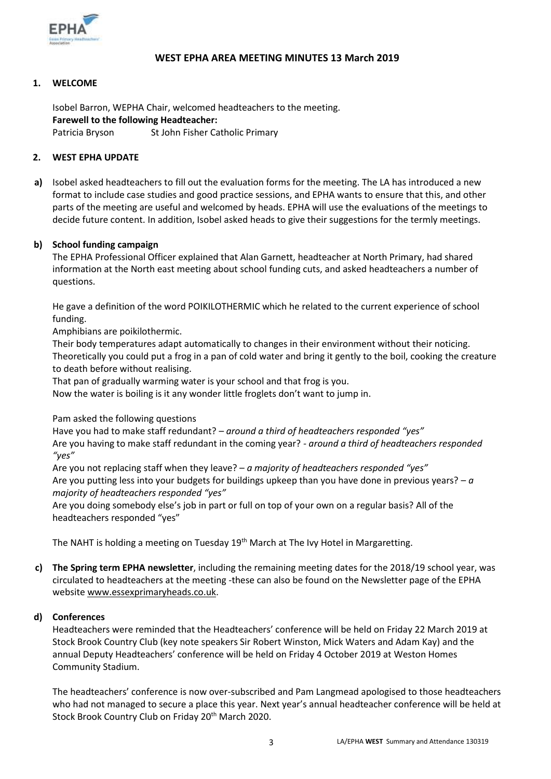

### **WEST EPHA AREA MEETING MINUTES 13 March 2019**

#### **1. WELCOME**

Isobel Barron, WEPHA Chair, welcomed headteachers to the meeting. **Farewell to the following Headteacher:** Patricia Bryson St John Fisher Catholic Primary

#### **2. WEST EPHA UPDATE**

**a)** Isobel asked headteachers to fill out the evaluation forms for the meeting. The LA has introduced a new format to include case studies and good practice sessions, and EPHA wants to ensure that this, and other parts of the meeting are useful and welcomed by heads. EPHA will use the evaluations of the meetings to decide future content. In addition, Isobel asked heads to give their suggestions for the termly meetings.

#### **b) School funding campaign**

The EPHA Professional Officer explained that Alan Garnett, headteacher at North Primary, had shared information at the North east meeting about school funding cuts, and asked headteachers a number of questions.

He gave a definition of the word POIKILOTHERMIC which he related to the current experience of school funding.

Amphibians are poikilothermic.

Their body temperatures adapt automatically to changes in their environment without their noticing. Theoretically you could put a frog in a pan of cold water and bring it gently to the boil, cooking the creature to death before without realising.

That pan of gradually warming water is your school and that frog is you.

Now the water is boiling is it any wonder little froglets don't want to jump in.

Pam asked the following questions

Have you had to make staff redundant? *– around a third of headteachers responded "yes"* Are you having to make staff redundant in the coming year? *- around a third of headteachers responded "yes"*

Are you not replacing staff when they leave? – *a majority of headteachers responded "yes"* Are you putting less into your budgets for buildings upkeep than you have done in previous years? – *a majority of headteachers responded "yes"*

Are you doing somebody else's job in part or full on top of your own on a regular basis? All of the headteachers responded "yes"

The NAHT is holding a meeting on Tuesday 19<sup>th</sup> March at The Ivy Hotel in Margaretting.

**c) The Spring term EPHA newsletter**, including the remaining meeting dates for the 2018/19 school year, was circulated to headteachers at the meeting -these can also be found on the Newsletter page of the EPHA websit[e www.essexprimaryheads.co.uk.](http://www.essexprimaryheads.co.uk/)

#### **d) Conferences**

Headteachers were reminded that the Headteachers' conference will be held on Friday 22 March 2019 at Stock Brook Country Club (key note speakers Sir Robert Winston, Mick Waters and Adam Kay) and the annual Deputy Headteachers' conference will be held on Friday 4 October 2019 at Weston Homes Community Stadium.

The headteachers' conference is now over-subscribed and Pam Langmead apologised to those headteachers who had not managed to secure a place this year. Next year's annual headteacher conference will be held at Stock Brook Country Club on Friday 20<sup>th</sup> March 2020.